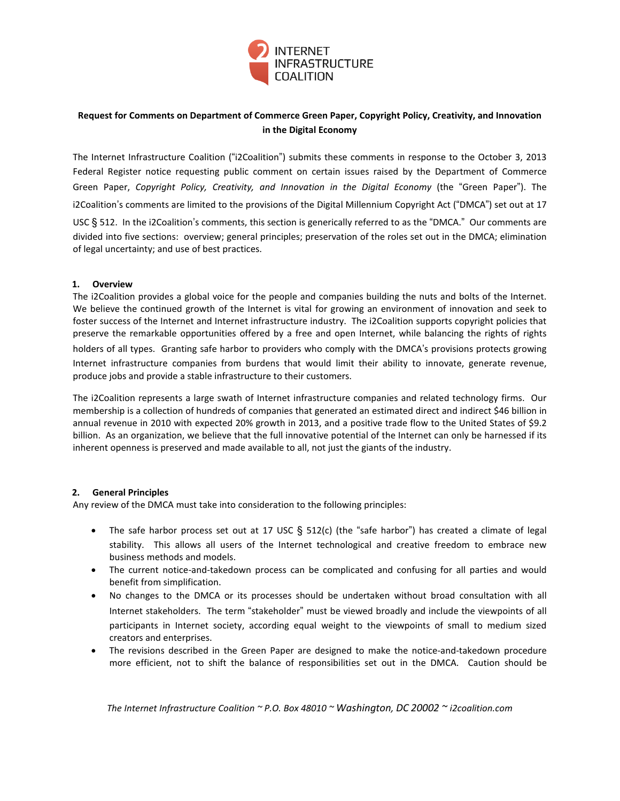

# **Request for Comments on Department of Commerce Green Paper, Copyright Policy, Creativity, and Innovation in the Digital Economy**

The Internet Infrastructure Coalition ("i2Coalition") submits these comments in response to the October 3, 2013 Federal Register notice requesting public comment on certain issues raised by the Department of Commerce Green Paper, *Copyright Policy, Creativity, and Innovation in the Digital Economy* (the "Green Paper"). The i2Coalition's comments are limited to the provisions of the Digital Millennium Copyright Act ("DMCA") set out at 17

USC § 512. In the i2Coalition's comments, this section is generically referred to as the "DMCA." Our comments are divided into five sections: overview; general principles; preservation of the roles set out in the DMCA; elimination of legal uncertainty; and use of best practices.

## **1. Overview**

The i2Coalition provides a global voice for the people and companies building the nuts and bolts of the Internet. We believe the continued growth of the Internet is vital for growing an environment of innovation and seek to foster success of the Internet and Internet infrastructure industry. The i2Coalition supports copyright policies that preserve the remarkable opportunities offered by a free and open Internet, while balancing the rights of rights

holders of all types. Granting safe harbor to providers who comply with the DMCA's provisions protects growing Internet infrastructure companies from burdens that would limit their ability to innovate, generate revenue, produce jobs and provide a stable infrastructure to their customers.

The i2Coalition represents a large swath of Internet infrastructure companies and related technology firms. Our membership is a collection of hundreds of companies that generated an estimated direct and indirect \$46 billion in annual revenue in 2010 with expected 20% growth in 2013, and a positive trade flow to the United States of \$9.2 billion. As an organization, we believe that the full innovative potential of the Internet can only be harnessed if its inherent openness is preserved and made available to all, not just the giants of the industry.

## **2. General Principles**

Any review of the DMCA must take into consideration to the following principles:

- The safe harbor process set out at 17 USC  $\S$  512(c) (the "safe harbor") has created a climate of legal stability. This allows all users of the Internet technological and creative freedom to embrace new business methods and models.
- The current notice-and-takedown process can be complicated and confusing for all parties and would benefit from simplification.
- No changes to the DMCA or its processes should be undertaken without broad consultation with all Internet stakeholders. The term "stakeholder" must be viewed broadly and include the viewpoints of all participants in Internet society, according equal weight to the viewpoints of small to medium sized creators and enterprises.
- The revisions described in the Green Paper are designed to make the notice-and-takedown procedure more efficient, not to shift the balance of responsibilities set out in the DMCA. Caution should be

*The Internet Infrastructure Coalition ~ P.O. Box 48010 ~ Washington, DC 20002 ~ i2coalition.com*